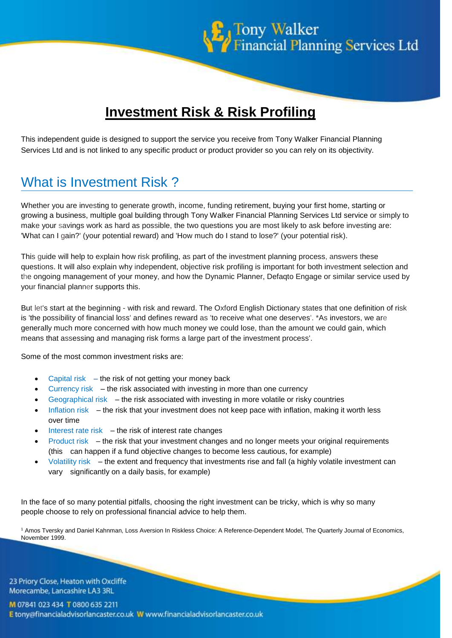

# **Investment Risk & Risk Profiling**

This independent guide is designed to support the service you receive from Tony Walker Financial Planning Services Ltd and is not linked to any specific product or product provider so you can rely on its objectivity.

# What is Investment Risk ?

Whether you are investing to generate growth, income, funding retirement, buying your first home, starting or growing a business, multiple goal building through Tony Walker Financial Planning Services Ltd service or simply to make your savings work as hard as possible, the two questions you are most likely to ask before investing are: 'What can I gain?' (your potential reward) and 'How much do I stand to lose?' (your potential risk).

This guide will help to explain how risk profiling, as part of the investment planning process, answers these questions. It will also explain why independent, objective risk profiling is important for both investment selection and the ongoing management of your money, and how the Dynamic Planner, Defaqto Engage or similar service used by your financial planner supports this.

But let's start at the beginning - with risk and reward. The Oxford English Dictionary states that one definition of risk is 'the possibility of financial loss' and defines reward as 'to receive what one deserves'. \*As investors, we are generally much more concerned with how much money we could lose, than the amount we could gain, which means that assessing and managing risk forms a large part of the investment process'.

Some of the most common investment risks are:

- Capital risk the risk of not getting your money back
- Currency risk  $-$  the risk associated with investing in more than one currency
- Geographical risk  $-$  the risk associated with investing in more volatile or risky countries
- Inflation risk the risk that your investment does not keep pace with inflation, making it worth less over time
- Interest rate risk  $-$  the risk of interest rate changes
- Product risk– the risk that your investment changes and no longer meets your original requirements (this can happen if a fund objective changes to become less cautious, for example)
- Volatility risk– the extent and frequency that investments rise and fall (a highly volatile investment can vary significantly on a daily basis, for example)

In the face of so many potential pitfalls, choosing the right investment can be tricky, which is why so many people choose to rely on professional financial advice to help them.

<sup>1</sup> Amos Tversky and Daniel Kahnman, Loss Aversion In Riskless Choice: A Reference-Dependent Model, The Quarterly Journal of Economics, November 1999.

23 Priory Close, Heaton with Oxcliffe Morecambe, Lancashire LA3 3RL

M 07841 023 434 T 0800 635 2211 E tony@financialadvisorlancaster.co.uk W www.financialadvisorlancaster.co.uk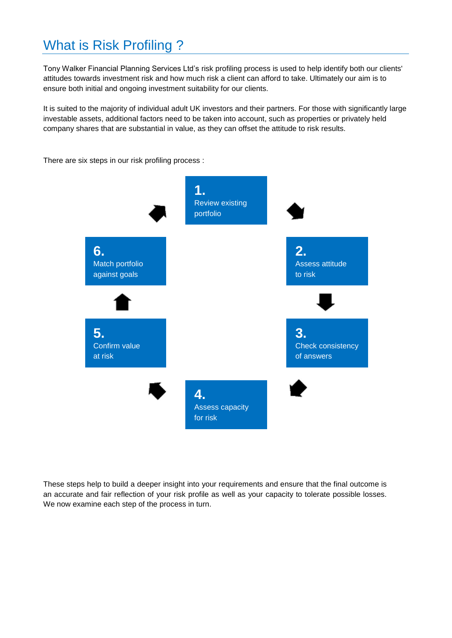# What is Risk Profiling ?

Tony Walker Financial Planning Services Ltd's risk profiling process is used to help identify both our clients' attitudes towards investment risk and how much risk a client can afford to take. Ultimately our aim is to ensure both initial and ongoing investment suitability for our clients.

It is suited to the majority of individual adult UK investors and their partners. For those with significantly large investable assets, additional factors need to be taken into account, such as properties or privately held company shares that are substantial in value, as they can offset the attitude to risk results.

There are six steps in our risk profiling process :



These steps help to build a deeper insight into your requirements and ensure that the final outcome is an accurate and fair reflection of your risk profile as well as your capacity to tolerate possible losses. We now examine each step of the process in turn.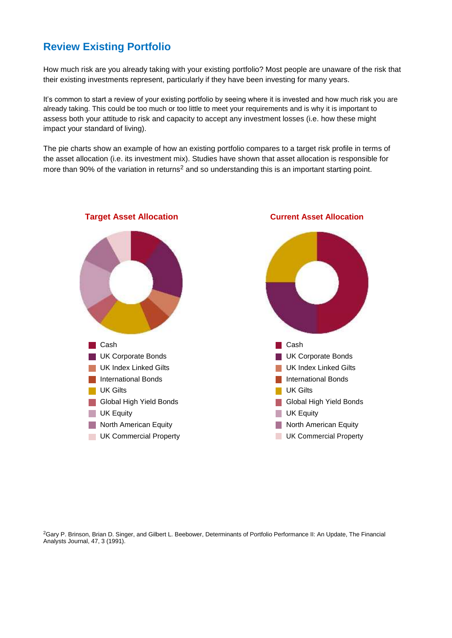## **Review Existing Portfolio**

How much risk are you already taking with your existing portfolio? Most people are unaware of the risk that their existing investments represent, particularly if they have been investing for many years.

It's common to start a review of your existing portfolio by seeing where it is invested and how much risk you are already taking. This could be too much or too little to meet your requirements and is why it is important to assess both your attitude to risk and capacity to accept any investment losses (i.e. how these might impact your standard of living).

The pie charts show an example of how an existing portfolio compares to a target risk profile in terms of the asset allocation (i.e. its investment mix). Studies have shown that asset allocation is responsible for more than 90% of the variation in returns<sup>2</sup> and so understanding this is an important starting point.



#### **Target Asset Allocation Current Asset Allocation**

<sup>2</sup>Gary P. Brinson, Brian D. Singer, and Gilbert L. Beebower, Determinants of Portfolio Performance II: An Update, The Financial Analysts Journal, 47, 3 (1991).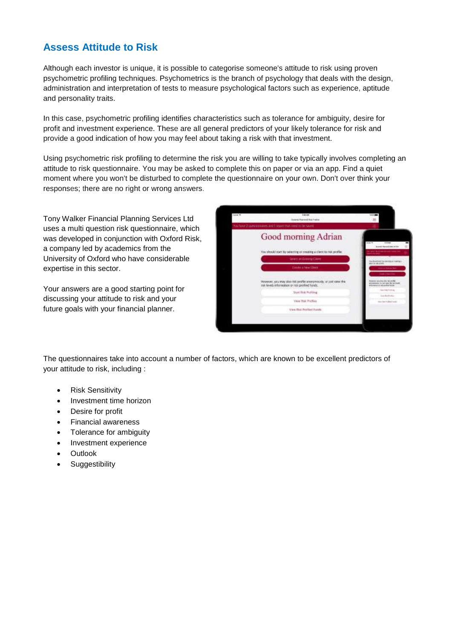### **Assess Attitude to Risk**

Although each investor is unique, it is possible to categorise someone's attitude to risk using proven psychometric profiling techniques. Psychometrics is the branch of psychology that deals with the design, administration and interpretation of tests to measure psychological factors such as experience, aptitude and personality traits.

In this case, psychometric profiling identifies characteristics such as tolerance for ambiguity, desire for profit and investment experience. These are all general predictors of your likely tolerance for risk and provide a good indication of how you may feel about taking a risk with that investment.

Using psychometric risk profiling to determine the risk you are willing to take typically involves completing an attitude to risk questionnaire. You may be asked to complete this on paper or via an app. Find a quiet moment where you won't be disturbed to complete the questionnaire on your own. Don't over think your responses; there are no right or wrong answers.

Tony Walker Financial Planning Services Ltd uses a multi question risk questionnaire, which was developed in conjunction with Oxford Risk, a company led by academics from the University of Oxford who have considerable expertise in this sector.

Your answers are a good starting point for discussing your attitude to risk and your future goals with your financial planner.

| <b>Drive W</b> | 144.44<br><b>Roberto Muscledd Mid-Frekler</b>                                                                                           |                                                                                                               |
|----------------|-----------------------------------------------------------------------------------------------------------------------------------------|---------------------------------------------------------------------------------------------------------------|
|                | hacker 2 payarones and Lepot that resume to be speci-                                                                                   |                                                                                                               |
|                | Good morning Adrian                                                                                                                     | <b>Strait Ave</b><br>$\frac{1}{2}$<br><b>Brandt Renald Editorial</b>                                          |
|                | You should start by selecting or creating a client to real profile.                                                                     | to care it is a composite a di i senza con-<br><b>CONTRACTOR</b>                                              |
|                | <b>Sewer an Execute Client</b>                                                                                                          | <b>HALLMARK</b><br><b>Factorizations and a</b>                                                                |
|                | Einste unen Einer.                                                                                                                      | <b>WYTH-MAJORE</b><br><b>Mini-Artistical Ball</b><br><b>Searchard</b>                                         |
|                | Nowever, you may also mit profile anony possibly or put your thin<br>risk levels information or risk profiled hands. The control of the | <b>Pergerakt: salud May 2002 100 USB 9</b><br>arranged is better the rations.<br>anta-gassing regarding acce- |
|                | Start Risk Portling                                                                                                                     | Annual Asiano<br><b>State But Ending</b>                                                                      |
|                | View 7till Profiles                                                                                                                     | the incredibilities.                                                                                          |
|                | Vew Blue Pertient Purado                                                                                                                |                                                                                                               |
|                |                                                                                                                                         |                                                                                                               |

The questionnaires take into account a number of factors, which are known to be excellent predictors of your attitude to risk, including :

- Risk Sensitivity
- Investment time horizon
- Desire for profit
- Financial awareness
- Tolerance for ambiguity
- Investment experience
- **Outlook**
- **•** Suggestibility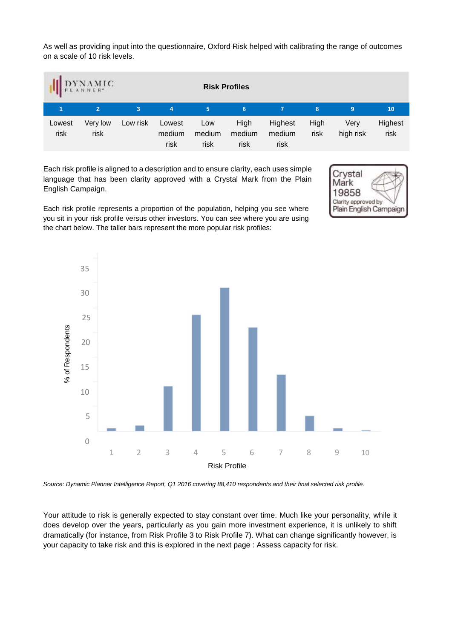As well as providing input into the questionnaire, Oxford Risk helped with calibrating the range of outcomes on a scale of 10 risk levels.

|                | $\label{eq:subproblem} \underset{\mathbf{A}}{\underset{\mathbf{P} \in \mathcal{A} \text{ in } \mathbb{N} \in \mathbb{R}^*}{\underset{\mathbf{P} \in \mathcal{A} \text{ in } \mathbb{N} \in \mathbb{R}^*}{\underset{\mathbf{P} \in \mathcal{A}}{\sum} }}$ |          |                          |                       | <b>Risk Profiles</b>   |                           |              |                   |                 |
|----------------|----------------------------------------------------------------------------------------------------------------------------------------------------------------------------------------------------------------------------------------------------------|----------|--------------------------|-----------------------|------------------------|---------------------------|--------------|-------------------|-----------------|
|                | $\overline{2}$                                                                                                                                                                                                                                           | 3        | 4                        | 5                     | 6                      |                           | 8            | 9                 | 10 <sub>1</sub> |
| Lowest<br>risk | Very low<br>risk                                                                                                                                                                                                                                         | Low risk | Lowest<br>medium<br>risk | Low<br>medium<br>risk | High<br>medium<br>risk | Highest<br>medium<br>risk | High<br>risk | Very<br>high risk | Highest<br>risk |

Each risk profile is aligned to a description and to ensure clarity, each uses simple language that has been clarity approved with a Crystal Mark from the Plain English Campaign.



Each risk profile represents a proportion of the population, helping you see where you sit in your risk profile versus other investors. You can see where you are using the chart below. The taller bars represent the more popular risk profiles:



*Source: Dynamic Planner Intelligence Report, Q1 2016 covering 88,410 respondents and their final selected risk profile.*

Your attitude to risk is generally expected to stay constant over time. Much like your personality, while it does develop over the years, particularly as you gain more investment experience, it is unlikely to shift dramatically (for instance, from Risk Profile 3 to Risk Profile 7). What can change significantly however, is your capacity to take risk and this is explored in the next page : Assess capacity for risk.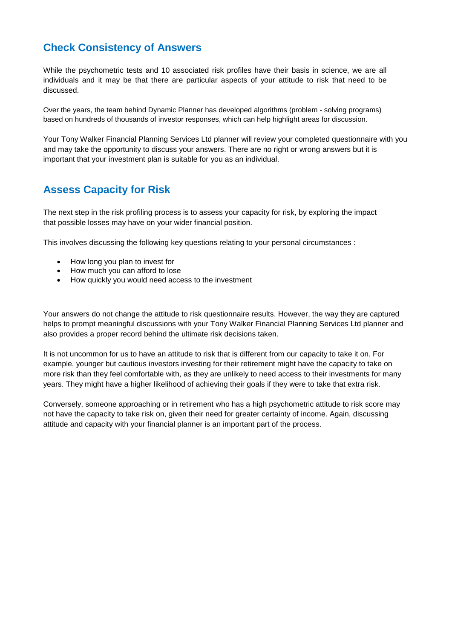### **Check Consistency of Answers**

While the psychometric tests and 10 associated risk profiles have their basis in science, we are all individuals and it may be that there are particular aspects of your attitude to risk that need to be discussed.

Over the years, the team behind Dynamic Planner has developed algorithms (problem - solving programs) based on hundreds of thousands of investor responses, which can help highlight areas for discussion.

Your Tony Walker Financial Planning Services Ltd planner will review your completed questionnaire with you and may take the opportunity to discuss your answers. There are no right or wrong answers but it is important that your investment plan is suitable for you as an individual.

#### **Assess Capacity for Risk**

The next step in the risk profiling process is to assess your capacity for risk, by exploring the impact that possible losses may have on your wider financial position.

This involves discussing the following key questions relating to your personal circumstances :

- How long you plan to invest for
- How much you can afford to lose
- How quickly you would need access to the investment

Your answers do not change the attitude to risk questionnaire results. However, the way they are captured helps to prompt meaningful discussions with your Tony Walker Financial Planning Services Ltd planner and also provides a proper record behind the ultimate risk decisions taken.

It is not uncommon for us to have an attitude to risk that is different from our capacity to take it on. For example, younger but cautious investors investing for their retirement might have the capacity to take on more risk than they feel comfortable with, as they are unlikely to need access to their investments for many years. They might have a higher likelihood of achieving their goals if they were to take that extra risk.

Conversely, someone approaching or in retirement who has a high psychometric attitude to risk score may not have the capacity to take risk on, given their need for greater certainty of income. Again, discussing attitude and capacity with your financial planner is an important part of the process.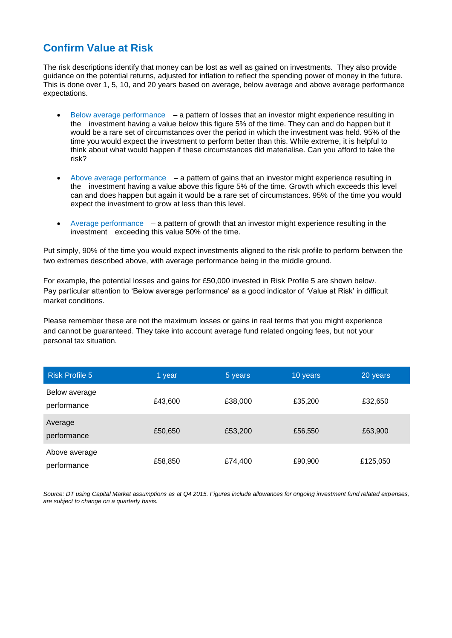### **Confirm Value at Risk**

The risk descriptions identify that money can be lost as well as gained on investments. They also provide guidance on the potential returns, adjusted for inflation to reflect the spending power of money in the future. This is done over 1, 5, 10, and 20 years based on average, below average and above average performance expectations.

- $\bullet$  Below average performance  $-$  a pattern of losses that an investor might experience resulting in the investment having a value below this figure 5% of the time. They can and do happen but it would be a rare set of circumstances over the period in which the investment was held. 95% of the time you would expect the investment to perform better than this. While extreme, it is helpful to think about what would happen if these circumstances did materialise. Can you afford to take the risk?
- Above average performance a pattern of gains that an investor might experience resulting in the investment having a value above this figure 5% of the time. Growth which exceeds this level can and does happen but again it would be a rare set of circumstances. 95% of the time you would expect the investment to grow at less than this level.
- Average performance– a pattern of growth that an investor might experience resulting in the investment exceeding this value 50% of the time.

Put simply, 90% of the time you would expect investments aligned to the risk profile to perform between the two extremes described above, with average performance being in the middle ground.

For example, the potential losses and gains for £50,000 invested in Risk Profile 5 are shown below. Pay particular attention to 'Below average performance' as a good indicator of 'Value at Risk' in difficult market conditions.

Please remember these are not the maximum losses or gains in real terms that you might experience and cannot be guaranteed. They take into account average fund related ongoing fees, but not your personal tax situation.

| <b>Risk Profile 5</b>        | 1 year  | 5 years | 10 years | 20 years |
|------------------------------|---------|---------|----------|----------|
| Below average<br>performance | £43,600 | £38,000 | £35,200  | £32,650  |
| Average<br>performance       | £50,650 | £53,200 | £56,550  | £63,900  |
| Above average<br>performance | £58,850 | £74,400 | £90,900  | £125,050 |

*Source: DT using Capital Market assumptions as at Q4 2015. Figures include allowances for ongoing investment fund related expenses, are subject to change on a quarterly basis.*